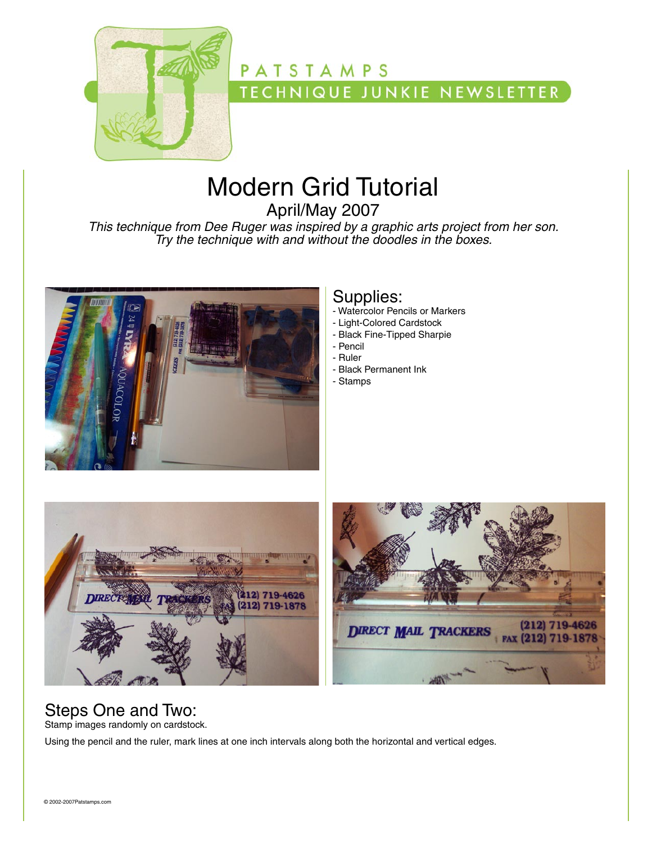

# **PATSTAMPS TECHNIQUE JUNKIE NEWSLETTER**

# Modern Grid Tutorial

April/May 2007

*This technique from Dee Ruger was inspired by a graphic arts project from her son. Try the technique with and without the doodles in the boxes.*



#### Supplies:

- Watercolor Pencils or Markers
- Light-Colored Cardstock
- Black Fine-Tipped Sharpie
- Pencil
- Ruler
- Black Permanent Ink
- Stamps





# Steps One and Two:

Stamp images randomly on cardstock.

Using the pencil and the ruler, mark lines at one inch intervals along both the horizontal and vertical edges.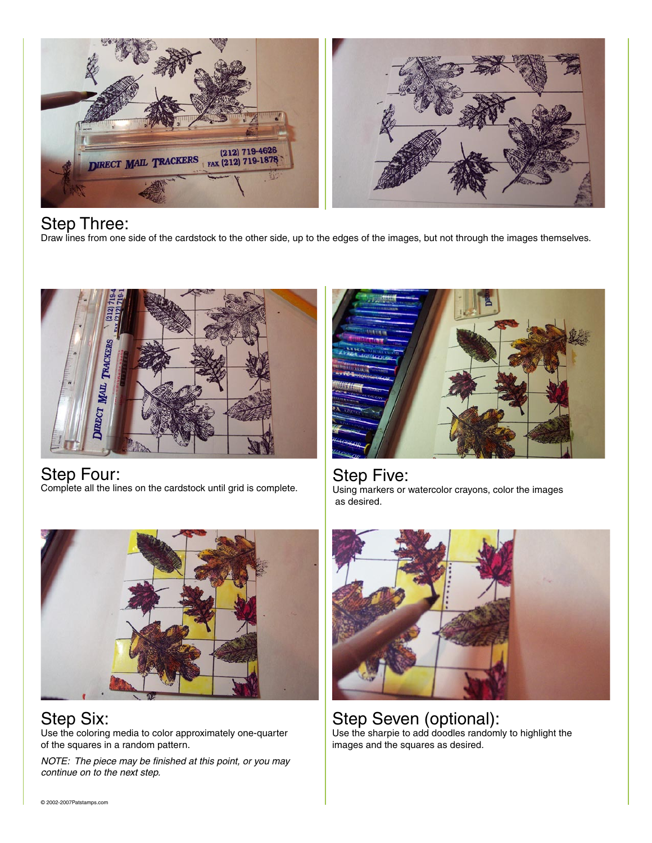

Step Three:

Draw lines from one side of the cardstock to the other side, up to the edges of the images, but not through the images themselves.



Step Four: Complete all the lines on the cardstock until grid is complete.



Step Five: Using markers or watercolor crayons, color the images as desired.



Step Six: Use the coloring media to color approximately one-quarter of the squares in a random pattern.

*NOTE: The piece may be finished at this point, or you may continue on to the next step.*



Step Seven (optional): Use the sharpie to add doodles randomly to highlight the images and the squares as desired.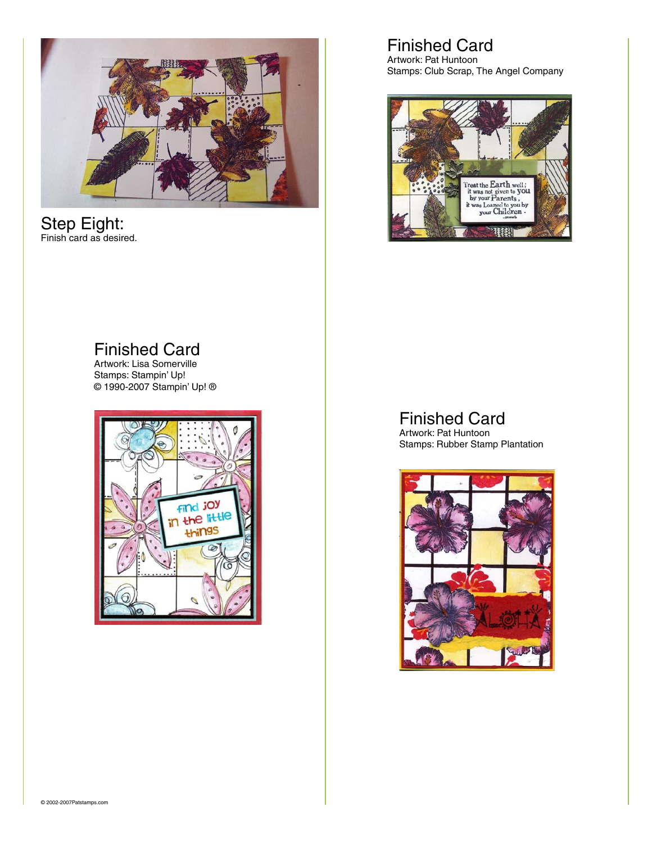

#### Step Eight: Finish card as desired.

### Finished Card

Artwork: Pat Huntoon Stamps: Club Scrap, The Angel Company



#### Finished Card

Artwork: Lisa Somerville Stamps: Stampin' Up! © 1990-2007 Stampin' Up! ®



#### Finished Card

Artwork: Pat Huntoon Stamps: Rubber Stamp Plantation